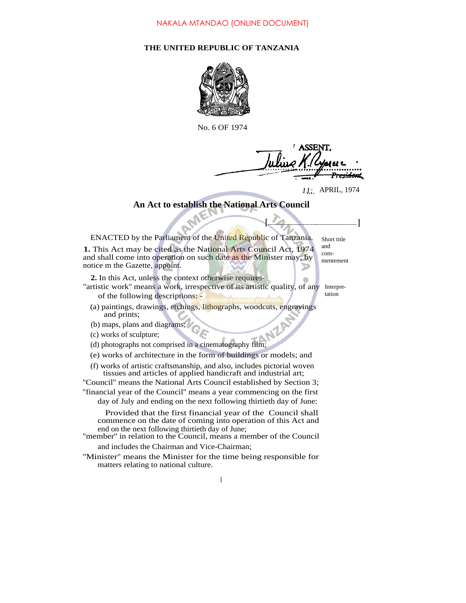## **THE UNITED REPUBLIC OF TANZANIA**



No. 6 OF 1974

**ASSENT** <del>reid</del>amt

*11:...* APRIL, 1974

**[ ]**

## **An Act to establish the National Arts Council**

ENACTED by the Parliament of the United Republic of Tanzania. **1.** This Act may be cited as the National Arts Council Act, 1974 and shall come into operation on such date as the Minister may, by notice m the Gazette, appoint. Short title and

**2.** In this Act, unless the context otherwise requires-

- "artistic work" means a work, irrespective of its artistic quality, of any Interpreof the following descriptions: tation
	- (a) paintings, drawings, etchings, lithographs, woodcuts, engravings and prints;
	- (b) maps, plans and diagrams;
	- (c) works of sculpture;
	- (d) photographs not comprised in a cinematography film;
	- (e) works of architecture in the form of buildings or models; and
	- (f) works of artistic craftsmanship, and also, includes pictorial woven tissues and articles of applied handicraft and industrial art;

''Council'' means the National Arts Council established by Section 3; ''financial year of the Council'' means a year commencing on the first

day of July and ending on the next following thirtieth day of June:

Provided that the first financial year of the Council shall commence on the date of coming into operation of this Act and end on the next following thirtieth day of June;

- "member" in relation to the Council, means a member of the Council and includes the Chairman and Vice-Chairman;
- ''Minister'' means the Minister for the time being responsible for matters relating to national culture.

commentement

1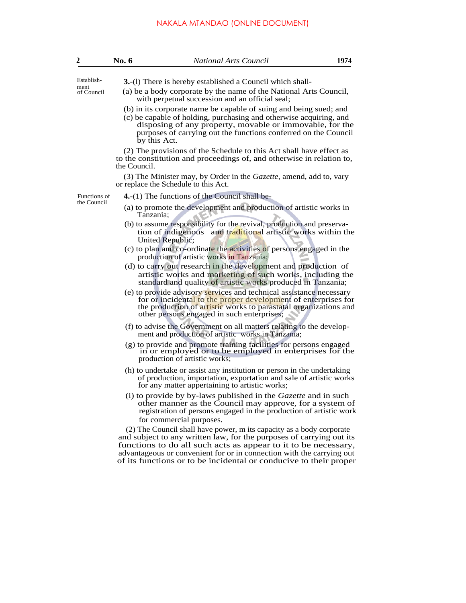## NAKALA MTANDAO (ONLINE DOCUMENT)

| $\overline{2}$              | No. 6        | <b>National Arts Council</b>                                                                                                                                                                                                                                                                                                                                 | 1974 |
|-----------------------------|--------------|--------------------------------------------------------------------------------------------------------------------------------------------------------------------------------------------------------------------------------------------------------------------------------------------------------------------------------------------------------------|------|
| Establish-                  |              | <b>3.</b> -(1) There is hereby established a Council which shall-                                                                                                                                                                                                                                                                                            |      |
| ment<br>of Council          |              | (a) be a body corporate by the name of the National Arts Council,<br>with perpetual succession and an official seal;                                                                                                                                                                                                                                         |      |
|                             |              | (b) in its corporate name be capable of suing and being sued; and<br>(c) be capable of holding, purchasing and otherwise acquiring, and<br>disposing of any property, movable or immovable, for the<br>purposes of carrying out the functions conferred on the Council<br>by this Act.                                                                       |      |
|                             | the Council. | (2) The provisions of the Schedule to this Act shall have effect as<br>to the constitution and proceedings of, and otherwise in relation to,                                                                                                                                                                                                                 |      |
|                             |              | (3) The Minister may, by Order in the <i>Gazette</i> , amend, add to, vary<br>or replace the Schedule to this Act.                                                                                                                                                                                                                                           |      |
| Functions of<br>the Council |              | $4-(1)$ The functions of the Council shall be-                                                                                                                                                                                                                                                                                                               |      |
|                             | Tanzania:    | (a) to promote the development and production of artistic works in                                                                                                                                                                                                                                                                                           |      |
|                             |              | (b) to assume responsibility for the revival, production and preserva-<br>tion of indigenous and traditional artistic works within the<br>United Republic;                                                                                                                                                                                                   |      |
|                             |              | (c) to plan and co-ordinate the activities of persons engaged in the<br>production of artistic works in Tanzania;                                                                                                                                                                                                                                            |      |
|                             |              | (d) to carry out research in the development and production of<br>artistic works and marketing of such works, including the<br>standard and quality of artistic works produced in Tanzania;                                                                                                                                                                  |      |
|                             |              | (e) to provide advisory services and technical assistance necessary<br>for or incidental to the proper development of enterprises for<br>the production of artistic works to parastatal organizations and<br>other persons engaged in such enterprises;                                                                                                      |      |
|                             |              | (f) to advise the Government on all matters relating to the develop-<br>ment and production of artistic works in Tanzania;                                                                                                                                                                                                                                   |      |
|                             |              | (g) to provide and promote training facilities for persons engaged<br>in or employed or to be employed in enterprises for the<br>production of artistic works;                                                                                                                                                                                               |      |
|                             |              | (h) to undertake or assist any institution or person in the undertaking<br>of production, importation, exportation and sale of artistic works<br>for any matter appertaining to artistic works;                                                                                                                                                              |      |
|                             |              | (i) to provide by by-laws published in the Gazette and in such<br>other manner as the Council may approve, for a system of<br>registration of persons engaged in the production of artistic work                                                                                                                                                             |      |
|                             |              | for commercial purposes.                                                                                                                                                                                                                                                                                                                                     |      |
|                             |              | (2) The Council shall have power, m its capacity as a body corporate<br>and subject to any written law, for the purposes of carrying out its<br>functions to do all such acts as appear to it to be necessary,<br>advantageous or convenient for or in connection with the carrying out<br>of its functions or to be incidental or conducive to their proper |      |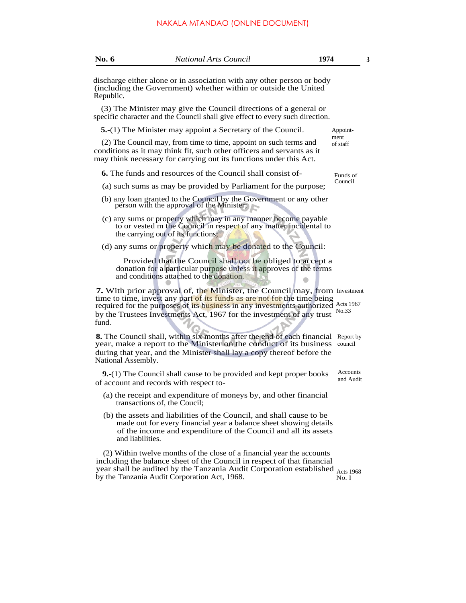| <b>No. 6</b>       | <b>National Arts Council</b>                                                                                                                                                                                                                                                                                               | 1974                  |  |  |  |
|--------------------|----------------------------------------------------------------------------------------------------------------------------------------------------------------------------------------------------------------------------------------------------------------------------------------------------------------------------|-----------------------|--|--|--|
| Republic.          | discharge either alone or in association with any other person or body<br>(including the Government) whether within or outside the United                                                                                                                                                                                  |                       |  |  |  |
|                    | (3) The Minister may give the Council directions of a general or<br>specific character and the Council shall give effect to every such direction.                                                                                                                                                                          |                       |  |  |  |
|                    | 5.-(1) The Minister may appoint a Secretary of the Council.                                                                                                                                                                                                                                                                | Appoint-              |  |  |  |
|                    | (2) The Council may, from time to time, appoint on such terms and<br>conditions as it may think fit, such other officers and servants as it<br>may think necessary for carrying out its functions under this Act.                                                                                                          | ment<br>of staff      |  |  |  |
|                    | <b>6.</b> The funds and resources of the Council shall consist of-                                                                                                                                                                                                                                                         | Funds of              |  |  |  |
|                    | Council<br>(a) such sums as may be provided by Parliament for the purpose;                                                                                                                                                                                                                                                 |                       |  |  |  |
|                    | (b) any loan granted to the Council by the Government or any other<br>person with the approval of the Minister;                                                                                                                                                                                                            |                       |  |  |  |
|                    | (c) any sums or property which may in any manner become payable<br>to or vested m the Council in respect of any matter incidental to<br>the carrying out of its functions;                                                                                                                                                 |                       |  |  |  |
|                    | (d) any sums or property which may be donated to the Council:                                                                                                                                                                                                                                                              |                       |  |  |  |
|                    | Provided that the Council shall not be obliged to accept a<br>donation for a particular purpose unless it approves of the terms<br>and conditions attached to the donation.                                                                                                                                                |                       |  |  |  |
| fund.              | <b>7.</b> With prior approval of, the Minister, the Council may, from Investment<br>time to time, invest any part of its funds as are not for the time being<br>required for the purposes of its business in any investments authorized Acts 1967<br>by the Trustees Investments Act, 1967 for the investment of any trust | No.33                 |  |  |  |
| National Assembly. | <b>8.</b> The Council shall, within six months after the end of each financial Report by<br>year, make a report to the Minister on the conduct of its business<br>during that year, and the Minister shall lay a copy thereof before the                                                                                   | council               |  |  |  |
|                    | 9.-(1) The Council shall cause to be provided and kept proper books<br>of account and records with respect to-                                                                                                                                                                                                             | Accounts<br>and Audit |  |  |  |
|                    | (a) the receipt and expenditure of moneys by, and other financial<br>transactions of, the Coucil;                                                                                                                                                                                                                          |                       |  |  |  |
| and liabilities.   | (b) the assets and liabilities of the Council, and shall cause to be<br>made out for every financial year a balance sheet showing details<br>of the income and expenditure of the Council and all its assets                                                                                                               |                       |  |  |  |
|                    | (2) Within twelve months of the close of a financial year the accounts<br>including the balance sheet of the Council in respect of that financial<br>year shall be audited by the Tanzania Audit Corporation established $_{\text{Acts}}$ 1968<br>by the Tanzania Audit Corporation Act, 1968.                             | No. I                 |  |  |  |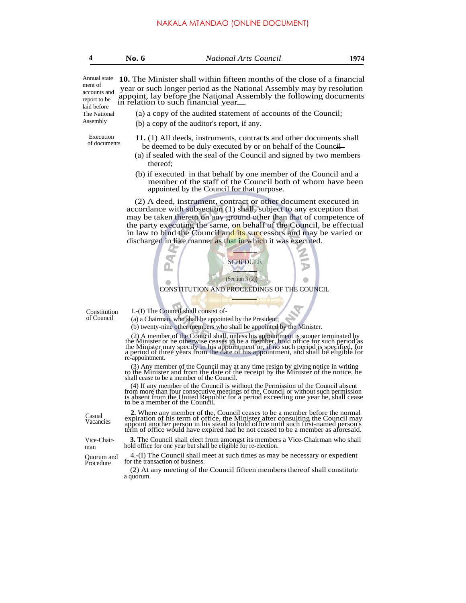| 4                                                                                                  | No. 6                                                                                                                                                                                                                                                                | <b>National Arts Council</b>                                                                                                                                                                                                                                                                                                                                                                                              | 1974 |  |  |  |
|----------------------------------------------------------------------------------------------------|----------------------------------------------------------------------------------------------------------------------------------------------------------------------------------------------------------------------------------------------------------------------|---------------------------------------------------------------------------------------------------------------------------------------------------------------------------------------------------------------------------------------------------------------------------------------------------------------------------------------------------------------------------------------------------------------------------|------|--|--|--|
| Annual state<br>ment of<br>accounts and<br>report to be<br>laid before<br>The National<br>Assembly | <b>10.</b> The Minister shall within fifteen months of the close of a financial<br>year or such longer period as the National Assembly may by resolution<br>appoint, lay before the National Assembly the following documents<br>in relation to such financial year. |                                                                                                                                                                                                                                                                                                                                                                                                                           |      |  |  |  |
|                                                                                                    |                                                                                                                                                                                                                                                                      | (a) a copy of the audited statement of accounts of the Council;<br>(b) a copy of the auditor's report, if any.                                                                                                                                                                                                                                                                                                            |      |  |  |  |
| Execution<br>of documents                                                                          |                                                                                                                                                                                                                                                                      | 11. (1) All deeds, instruments, contracts and other documents shall<br>be deemed to be duly executed by or on behalf of the Council<br>(a) if sealed with the seal of the Council and signed by two members<br>thereof;                                                                                                                                                                                                   |      |  |  |  |
|                                                                                                    |                                                                                                                                                                                                                                                                      | (b) if executed in that behalf by one member of the Council and a<br>member of the staff of the Council both of whom have been<br>appointed by the Council for that purpose.                                                                                                                                                                                                                                              |      |  |  |  |
|                                                                                                    |                                                                                                                                                                                                                                                                      | (2) A deed, instrument, contract or other document executed in<br>accordance with subsection (1) shall, subject to any exception that<br>may be taken thereto on any ground other than that of competence of<br>the party executing the same, on behalf of the Council, be effectual<br>in law to bind the Council and its successors and may be varied or<br>discharged in like manner as that in which it was executed. |      |  |  |  |
|                                                                                                    |                                                                                                                                                                                                                                                                      | <b>SCHEDULE</b>                                                                                                                                                                                                                                                                                                                                                                                                           |      |  |  |  |
|                                                                                                    |                                                                                                                                                                                                                                                                      | (Section 3 (2))<br>CONSTITUTION AND PROCEEDINGS OF THE COUNCIL                                                                                                                                                                                                                                                                                                                                                            |      |  |  |  |
|                                                                                                    |                                                                                                                                                                                                                                                                      |                                                                                                                                                                                                                                                                                                                                                                                                                           |      |  |  |  |
| Constitution<br>of Council                                                                         |                                                                                                                                                                                                                                                                      | I.-(I) The Council shall consist of-                                                                                                                                                                                                                                                                                                                                                                                      |      |  |  |  |
|                                                                                                    | (a) a Chairman, who shall be appointed by the President;                                                                                                                                                                                                             |                                                                                                                                                                                                                                                                                                                                                                                                                           |      |  |  |  |
|                                                                                                    |                                                                                                                                                                                                                                                                      | (b) twenty-nine other members who shall be appointed by the Minister.                                                                                                                                                                                                                                                                                                                                                     |      |  |  |  |
|                                                                                                    | re-appointment.                                                                                                                                                                                                                                                      | (2) A member of the Council shall, unless his appointment is sooner terminated by the Minister or he otherwise ceases to be a member, hold office for such period as the Minister may specify in his appointment or, if no suc                                                                                                                                                                                            |      |  |  |  |

(3) Any member of the Council may at any time resign by giving notice in writing to the Minister and from the date of the receipt by the Minister of the notice, he shall cease to be a member of the Council.

(4) If any member of the Council is without the Permission of the Council absent<br>from more than four consecutive meetings of the, Council or without such permission<br>is absent from the United Republic for a period exceeding

Vice-Chair-

2. Where any member of the, Council ceases to be a member before the normal expiration of his term of office, the Minister after consulting the Council may appoint another person in his stead to hold office until such firs **3.** The Council shall elect from amongst its members a Vice-Chairman who shall hold office for one year but shall be eligible for re-election.

4.-(I) The Council shall meet at such times as may be necessary or expedient for the transaction of business.

(2) At any meeting of the Council fifteen members thereof shall constitute a quorum.

Casual Vacancies

man

Quorum and<br>Procedure